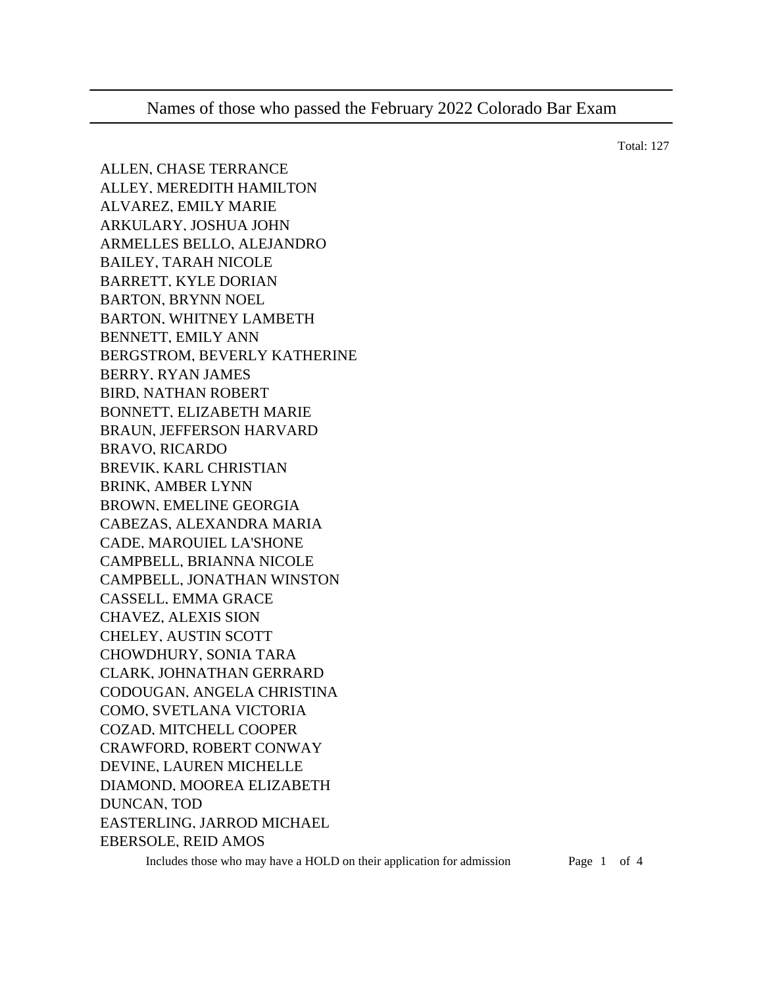ALLEN, CHASE TERRANCE ALLEY, MEREDITH HAMILTON ALVAREZ, EMILY MARIE ARKULARY, JOSHUA JOHN ARMELLES BELLO, ALEJANDRO BAILEY, TARAH NICOLE BARRETT, KYLE DORIAN BARTON, BRYNN NOEL BARTON, WHITNEY LAMBETH BENNETT, EMILY ANN BERGSTROM, BEVERLY KATHERINE BERRY, RYAN JAMES BIRD, NATHAN ROBERT BONNETT, ELIZABETH MARIE BRAUN, JEFFERSON HARVARD BRAVO, RICARDO BREVIK, KARL CHRISTIAN BRINK, AMBER LYNN BROWN, EMELINE GEORGIA CABEZAS, ALEXANDRA MARIA CADE, MARQUIEL LA'SHONE CAMPBELL, BRIANNA NICOLE CAMPBELL, JONATHAN WINSTON CASSELL, EMMA GRACE CHAVEZ, ALEXIS SION CHELEY, AUSTIN SCOTT CHOWDHURY, SONIA TARA CLARK, JOHNATHAN GERRARD CODOUGAN, ANGELA CHRISTINA COMO, SVETLANA VICTORIA COZAD, MITCHELL COOPER CRAWFORD, ROBERT CONWAY DEVINE, LAUREN MICHELLE DIAMOND, MOOREA ELIZABETH DUNCAN, TOD EASTERLING, JARROD MICHAEL EBERSOLE, REID AMOS

Includes those who may have a HOLD on their application for admission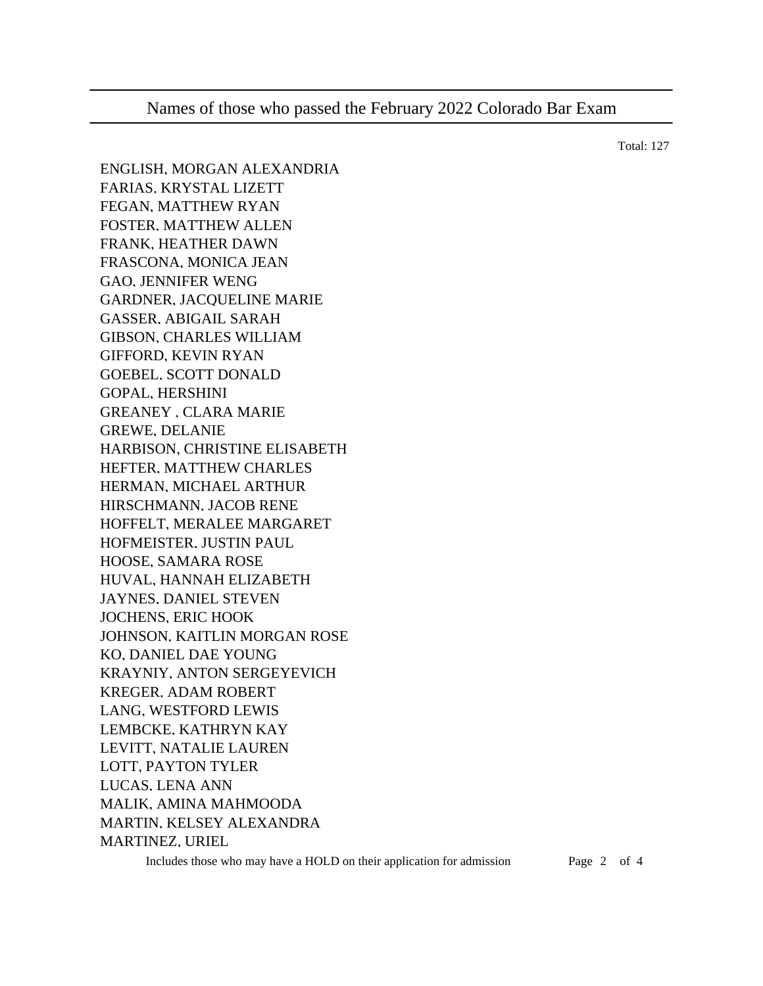ENGLISH, MORGAN ALEXANDRIA FARIAS, KRYSTAL LIZETT FEGAN, MATTHEW RYAN FOSTER, MATTHEW ALLEN FRANK, HEATHER DAWN FRASCONA, MONICA JEAN GAO, JENNIFER WENG GARDNER, JACQUELINE MARIE GASSER, ABIGAIL SARAH GIBSON, CHARLES WILLIAM GIFFORD, KEVIN RYAN GOEBEL, SCOTT DONALD GOPAL, HERSHINI GREANEY , CLARA MARIE GREWE, DELANIE HARBISON, CHRISTINE ELISABETH HEFTER, MATTHEW CHARLES HERMAN, MICHAEL ARTHUR HIRSCHMANN, JACOB RENE HOFFELT, MERALEE MARGARET HOFMEISTER, JUSTIN PAUL HOOSE, SAMARA ROSE HUVAL, HANNAH ELIZABETH JAYNES, DANIEL STEVEN JOCHENS, ERIC HOOK JOHNSON, KAITLIN MORGAN ROSE KO, DANIEL DAE YOUNG KRAYNIY, ANTON SERGEYEVICH KREGER, ADAM ROBERT LANG, WESTFORD LEWIS LEMBCKE, KATHRYN KAY LEVITT, NATALIE LAUREN LOTT, PAYTON TYLER LUCAS, LENA ANN MALIK, AMINA MAHMOODA MARTIN, KELSEY ALEXANDRA MARTINEZ, URIEL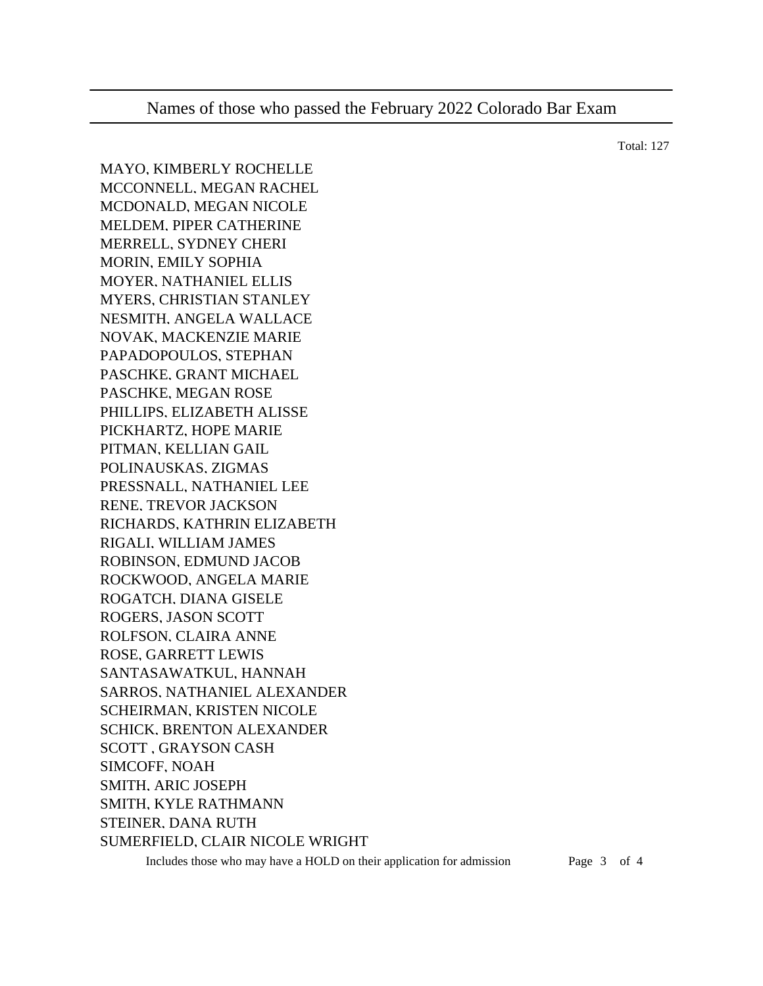MAYO, KIMBERLY ROCHELLE MCCONNELL, MEGAN RACHEL MCDONALD, MEGAN NICOLE MELDEM, PIPER CATHERINE MERRELL, SYDNEY CHERI MORIN, EMILY SOPHIA MOYER, NATHANIEL ELLIS MYERS, CHRISTIAN STANLEY NESMITH, ANGELA WALLACE NOVAK, MACKENZIE MARIE PAPADOPOULOS, STEPHAN PASCHKE, GRANT MICHAEL PASCHKE, MEGAN ROSE PHILLIPS, ELIZABETH ALISSE PICKHARTZ, HOPE MARIE PITMAN, KELLIAN GAIL POLINAUSKAS, ZIGMAS PRESSNALL, NATHANIEL LEE RENE, TREVOR JACKSON RICHARDS, KATHRIN ELIZABETH RIGALI, WILLIAM JAMES ROBINSON, EDMUND JACOB ROCKWOOD, ANGELA MARIE ROGATCH, DIANA GISELE ROGERS, JASON SCOTT ROLFSON, CLAIRA ANNE ROSE, GARRETT LEWIS SANTASAWATKUL, HANNAH SARROS, NATHANIEL ALEXANDER SCHEIRMAN, KRISTEN NICOLE SCHICK, BRENTON ALEXANDER SCOTT , GRAYSON CASH SIMCOFF, NOAH SMITH, ARIC JOSEPH SMITH, KYLE RATHMANN STEINER, DANA RUTH SUMERFIELD, CLAIR NICOLE WRIGHT

Includes those who may have a HOLD on their application for admission